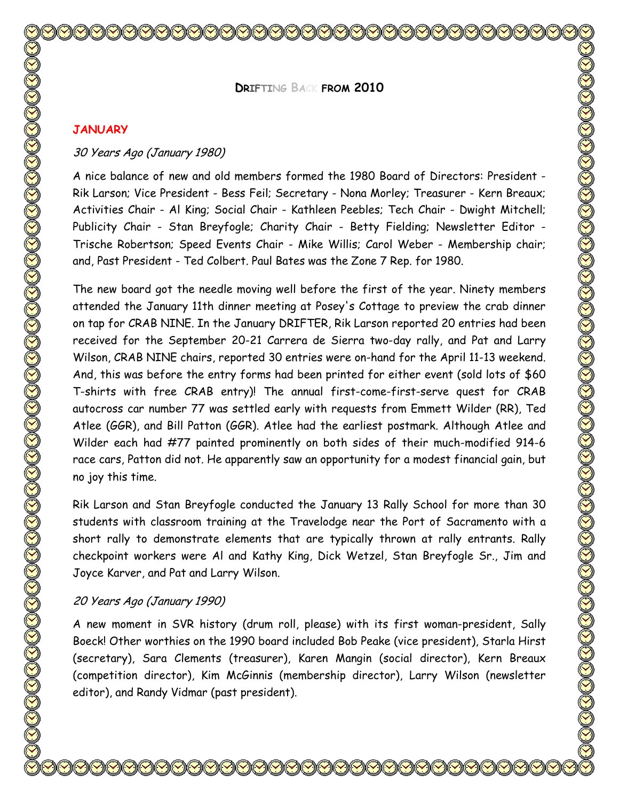**DRIFTING BACK FROM 2010**

#### **JANUARY**

### 30 Years Ago (January 1980)

A nice balance of new and old members formed the 1980 Board of Directors: President - Rik Larson; Vice President - Bess Feil; Secretary - Nona Morley; Treasurer - Kern Breaux; Activities Chair - Al King; Social Chair - Kathleen Peebles; Tech Chair - Dwight Mitchell; Publicity Chair - Stan Breyfogle; Charity Chair - Betty Fielding; Newsletter Editor - Trische Robertson; Speed Events Chair - Mike Willis; Carol Weber - Membership chair; and, Past President - Ted Colbert. Paul Bates was the Zone 7 Rep. for 1980.

The new board got the needle moving well before the first of the year. Ninety members attended the January 11th dinner meeting at Posey's Cottage to preview the crab dinner on tap for CRAB NINE. In the January DRIFTER, Rik Larson reported 20 entries had been received for the September 20-21 Carrera de Sierra two-day rally, and Pat and Larry Wilson, CRAB NINE chairs, reported 30 entries were on-hand for the April 11-13 weekend. And, this was before the entry forms had been printed for either event (sold lots of \$60 T-shirts with free CRAB entry)! The annual first-come-first-serve quest for CRAB autocross car number 77 was settled early with requests from Emmett Wilder (RR), Ted Atlee (GGR), and Bill Patton (GGR). Atlee had the earliest postmark. Although Atlee and Wilder each had #77 painted prominently on both sides of their much-modified 914-6 race cars, Patton did not. He apparently saw an opportunity for a modest financial gain, but no joy this time.

Rik Larson and Stan Breyfogle conducted the January 13 Rally School for more than 30 students with classroom training at the Travelodge near the Port of Sacramento with a short rally to demonstrate elements that are typically thrown at rally entrants. Rally checkpoint workers were Al and Kathy King, Dick Wetzel, Stan Breyfogle Sr., Jim and Joyce Karver, and Pat and Larry Wilson.

## 20 Years Ago (January 1990)

A new moment in SVR history (drum roll, please) with its first woman-president, Sally Boeck! Other worthies on the 1990 board included Bob Peake (vice president), Starla Hirst (secretary), Sara Clements (treasurer), Karen Mangin (social director), Kern Breaux (competition director), Kim McGinnis (membership director), Larry Wilson (newsletter editor), and Randy Vidmar (past president).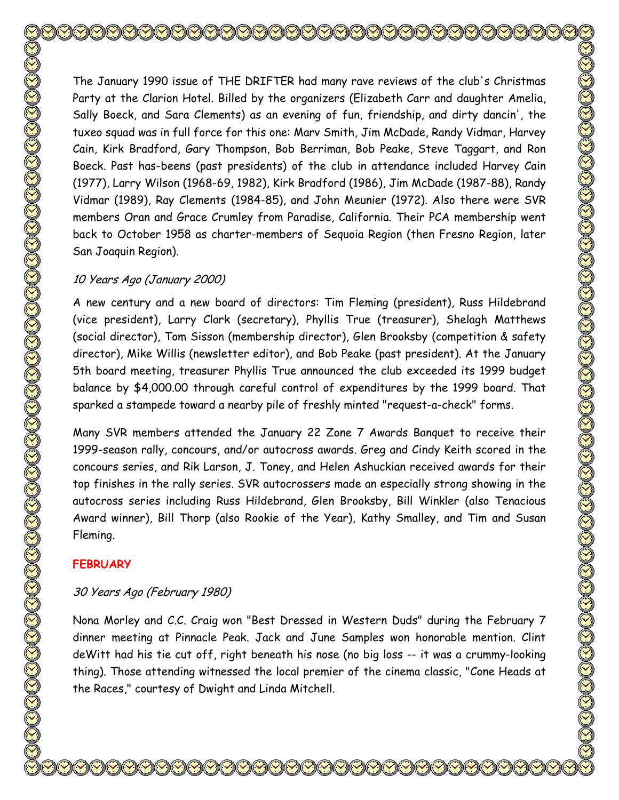The January 1990 issue of THE DRIFTER had many rave reviews of the club's Christmas Party at the Clarion Hotel. Billed by the organizers (Elizabeth Carr and daughter Amelia, Sally Boeck, and Sara Clements) as an evening of fun, friendship, and dirty dancin', the tuxeo squad was in full force for this one: Marv Smith, Jim McDade, Randy Vidmar, Harvey Cain, Kirk Bradford, Gary Thompson, Bob Berriman, Bob Peake, Steve Taggart, and Ron Boeck. Past has-beens (past presidents) of the club in attendance included Harvey Cain (1977), Larry Wilson (1968-69, 1982), Kirk Bradford (1986), Jim McDade (1987-88), Randy Vidmar (1989), Ray Clements (1984-85), and John Meunier (1972). Also there were SVR members Oran and Grace Crumley from Paradise, California. Their PCA membership went back to October 1958 as charter-members of Sequoia Region (then Fresno Region, later San Joaquin Region).

# 10 Years Ago (January 2000)

A new century and a new board of directors: Tim Fleming (president), Russ Hildebrand (vice president), Larry Clark (secretary), Phyllis True (treasurer), Shelagh Matthews (social director), Tom Sisson (membership director), Glen Brooksby (competition & safety director), Mike Willis (newsletter editor), and Bob Peake (past president). At the January 5th board meeting, treasurer Phyllis True announced the club exceeded its 1999 budget balance by \$4,000.00 through careful control of expenditures by the 1999 board. That sparked a stampede toward a nearby pile of freshly minted "request-a-check" forms.

Many SVR members attended the January 22 Zone 7 Awards Banquet to receive their 1999-season rally, concours, and/or autocross awards. Greg and Cindy Keith scored in the concours series, and Rik Larson, J. Toney, and Helen Ashuckian received awards for their top finishes in the rally series. SVR autocrossers made an especially strong showing in the autocross series including Russ Hildebrand, Glen Brooksby, Bill Winkler (also Tenacious Award winner), Bill Thorp (also Rookie of the Year), Kathy Smalley, and Tim and Susan Fleming.

# **FEBRUARY**

# 30 Years Ago (February 1980)

Nona Morley and C.C. Craig won "Best Dressed in Western Duds" during the February 7 dinner meeting at Pinnacle Peak. Jack and June Samples won honorable mention. Clint deWitt had his tie cut off, right beneath his nose (no big loss -- it was a crummy-looking thing). Those attending witnessed the local premier of the cinema classic, "Cone Heads at the Races," courtesy of Dwight and Linda Mitchell.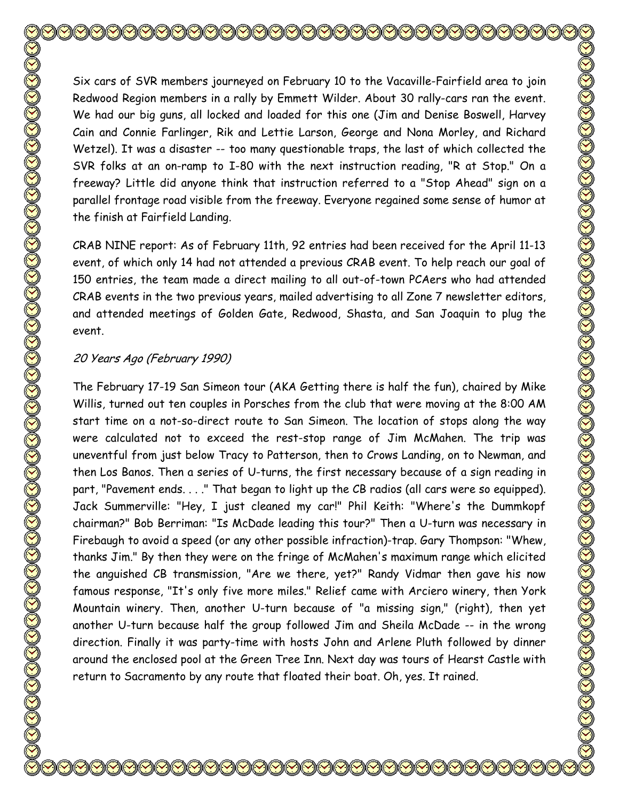Six cars of SVR members journeyed on February 10 to the Vacaville-Fairfield area to join Redwood Region members in a rally by Emmett Wilder. About 30 rally-cars ran the event. We had our big guns, all locked and loaded for this one (Jim and Denise Boswell, Harvey Cain and Connie Farlinger, Rik and Lettie Larson, George and Nona Morley, and Richard Wetzel). It was a disaster -- too many questionable traps, the last of which collected the SVR folks at an on-ramp to I-80 with the next instruction reading, "R at Stop." On a freeway? Little did anyone think that instruction referred to a "Stop Ahead" sign on a parallel frontage road visible from the freeway. Everyone regained some sense of humor at the finish at Fairfield Landing.

CRAB NINE report: As of February 11th, 92 entries had been received for the April 11-13 event, of which only 14 had not attended a previous CRAB event. To help reach our goal of 150 entries, the team made a direct mailing to all out-of-town PCAers who had attended CRAB events in the two previous years, mailed advertising to all Zone 7 newsletter editors, and attended meetings of Golden Gate, Redwood, Shasta, and San Joaquin to plug the event.

### 20 Years Ago (February 1990)

The February 17-19 San Simeon tour (AKA Getting there is half the fun), chaired by Mike Willis, turned out ten couples in Porsches from the club that were moving at the 8:00 AM start time on a not-so-direct route to San Simeon. The location of stops along the way were calculated not to exceed the rest-stop range of Jim McMahen. The trip was uneventful from just below Tracy to Patterson, then to Crows Landing, on to Newman, and then Los Banos. Then a series of U-turns, the first necessary because of a sign reading in part, "Pavement ends. . . ." That began to light up the CB radios (all cars were so equipped). Jack Summerville: "Hey, I just cleaned my car!" Phil Keith: "Where's the Dummkopf chairman?" Bob Berriman: "Is McDade leading this tour?" Then a U-turn was necessary in Firebaugh to avoid a speed (or any other possible infraction)-trap. Gary Thompson: "Whew, thanks Jim." By then they were on the fringe of McMahen's maximum range which elicited the anguished CB transmission, "Are we there, yet?" Randy Vidmar then gave his now famous response, "It's only five more miles." Relief came with Arciero winery, then York Mountain winery. Then, another U-turn because of "a missing sign," (right), then yet another U-turn because half the group followed Jim and Sheila McDade -- in the wrong direction. Finally it was party-time with hosts John and Arlene Pluth followed by dinner around the enclosed pool at the Green Tree Inn. Next day was tours of Hearst Castle with return to Sacramento by any route that floated their boat. Oh, yes. It rained.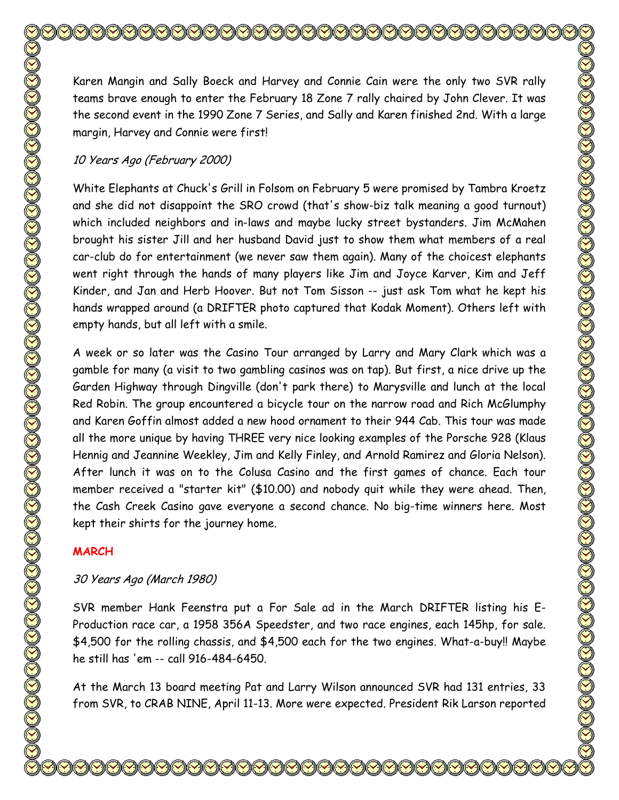Karen Mangin and Sally Boeck and Harvey and Connie Cain were the only two SVR rally teams brave enough to enter the February 18 Zone 7 rally chaired by John Clever. It was the second event in the 1990 Zone 7 Series, and Sally and Karen finished 2nd. With a large margin, Harvey and Connie were first! 10 Years Ago (February 2000)

White Elephants at Chuck's Grill in Folsom on February 5 were promised by Tambra Kroetz and she did not disappoint the SRO crowd (that's show-biz talk meaning a good turnout) which included neighbors and in-laws and maybe lucky street bystanders. Jim McMahen brought his sister Jill and her husband David just to show them what members of a real car-club do for entertainment (we never saw them again). Many of the choicest elephants went right through the hands of many players like Jim and Joyce Karver, Kim and Jeff Kinder, and Jan and Herb Hoover. But not Tom Sisson -- just ask Tom what he kept his hands wrapped around (a DRIFTER photo captured that Kodak Moment). Others left with empty hands, but all left with a smile.

A week or so later was the Casino Tour arranged by Larry and Mary Clark which was a gamble for many (a visit to two gambling casinos was on tap). But first, a nice drive up the Garden Highway through Dingville (don't park there) to Marysville and lunch at the local Red Robin. The group encountered a bicycle tour on the narrow road and Rich McGlumphy and Karen Goffin almost added a new hood ornament to their 944 Cab. This tour was made all the more unique by having THREE very nice looking examples of the Porsche 928 (Klaus Hennig and Jeannine Weekley, Jim and Kelly Finley, and Arnold Ramirez and Gloria Nelson). After lunch it was on to the Colusa Casino and the first games of chance. Each tour member received a "starter kit" (\$10.00) and nobody quit while they were ahead. Then, the Cash Creek Casino gave everyone a second chance. No big-time winners here. Most kept their shirts for the journey home.

## **MARCH**

# 30 Years Ago (March 1980)

SVR member Hank Feenstra put a For Sale ad in the March DRIFTER listing his E-Production race car, a 1958 356A Speedster, and two race engines, each 145hp, for sale. \$4,500 for the rolling chassis, and \$4,500 each for the two engines. What-a-buy!! Maybe he still has 'em -- call 916-484-6450.

At the March 13 board meeting Pat and Larry Wilson announced SVR had 131 entries, 33 from SVR, to CRAB NINE, April 11-13. More were expected. President Rik Larson reported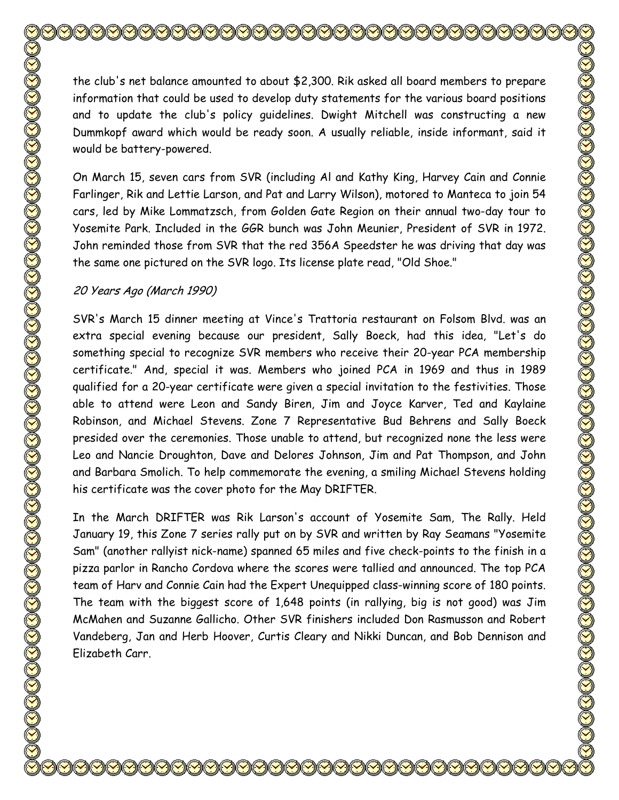the club's net balance amounted to about \$2,300. Rik asked all board members to prepare information that could be used to develop duty statements for the various board positions and to update the club's policy guidelines. Dwight Mitchell was constructing a new Dummkopf award which would be ready soon. A usually reliable, inside informant, said it would be battery-powered.

On March 15, seven cars from SVR (including Al and Kathy King, Harvey Cain and Connie Farlinger, Rik and Lettie Larson, and Pat and Larry Wilson), motored to Manteca to join 54 cars, led by Mike Lommatzsch, from Golden Gate Region on their annual two-day tour to Yosemite Park. Included in the GGR bunch was John Meunier, President of SVR in 1972. John reminded those from SVR that the red 356A Speedster he was driving that day was the same one pictured on the SVR logo. Its license plate read, "Old Shoe."

### 20 Years Ago (March 1990)

SVR's March 15 dinner meeting at Vince's Trattoria restaurant on Folsom Blvd. was an extra special evening because our president, Sally Boeck, had this idea, "Let's do something special to recognize SVR members who receive their 20-year PCA membership certificate." And, special it was. Members who joined PCA in 1969 and thus in 1989 qualified for a 20-year certificate were given a special invitation to the festivities. Those able to attend were Leon and Sandy Biren, Jim and Joyce Karver, Ted and Kaylaine Robinson, and Michael Stevens. Zone 7 Representative Bud Behrens and Sally Boeck presided over the ceremonies. Those unable to attend, but recognized none the less were Leo and Nancie Droughton, Dave and Delores Johnson, Jim and Pat Thompson, and John and Barbara Smolich. To help commemorate the evening, a smiling Michael Stevens holding his certificate was the cover photo for the May DRIFTER.

In the March DRIFTER was Rik Larson's account of Yosemite Sam, The Rally. Held January 19, this Zone 7 series rally put on by SVR and written by Ray Seamans "Yosemite Sam" (another rallyist nick-name) spanned 65 miles and five check-points to the finish in a pizza parlor in Rancho Cordova where the scores were tallied and announced. The top PCA team of Harv and Connie Cain had the Expert Unequipped class-winning score of 180 points. The team with the biggest score of 1,648 points (in rallying, big is not good) was Jim McMahen and Suzanne Gallicho. Other SVR finishers included Don Rasmusson and Robert Vandeberg, Jan and Herb Hoover, Curtis Cleary and Nikki Duncan, and Bob Dennison and Elizabeth Carr.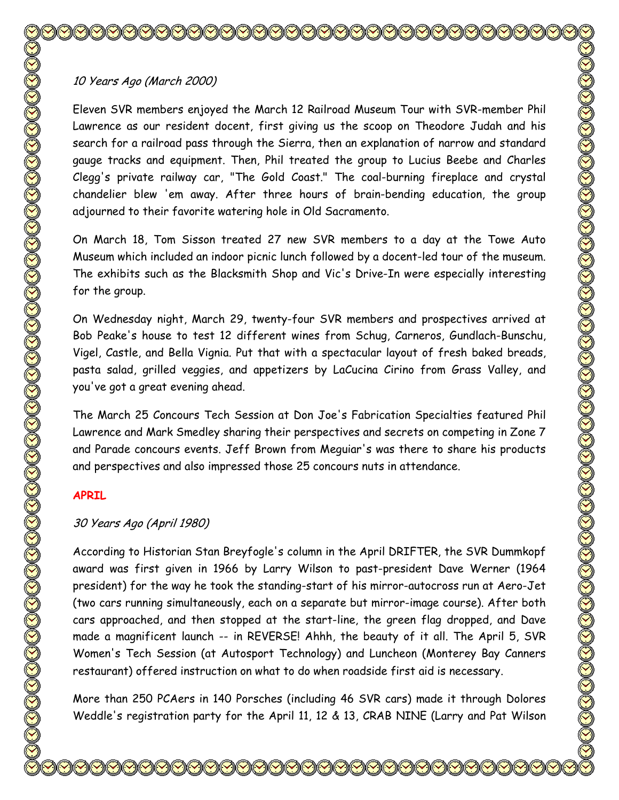# 10 Years Ago (March 2000)

Eleven SVR members enjoyed the March 12 Railroad Museum Tour with SVR-member Phil Lawrence as our resident docent, first giving us the scoop on Theodore Judah and his search for a railroad pass through the Sierra, then an explanation of narrow and standard gauge tracks and equipment. Then, Phil treated the group to Lucius Beebe and Charles Clegg's private railway car, "The Gold Coast." The coal-burning fireplace and crystal chandelier blew 'em away. After three hours of brain-bending education, the group adjourned to their favorite watering hole in Old Sacramento.

On March 18, Tom Sisson treated 27 new SVR members to a day at the Towe Auto Museum which included an indoor picnic lunch followed by a docent-led tour of the museum. The exhibits such as the Blacksmith Shop and Vic's Drive-In were especially interesting for the group.

On Wednesday night, March 29, twenty-four SVR members and prospectives arrived at Bob Peake's house to test 12 different wines from Schug, Carneros, Gundlach-Bunschu, Vigel, Castle, and Bella Vignia. Put that with a spectacular layout of fresh baked breads, pasta salad, grilled veggies, and appetizers by LaCucina Cirino from Grass Valley, and you've got a great evening ahead.

The March 25 Concours Tech Session at Don Joe's Fabrication Specialties featured Phil Lawrence and Mark Smedley sharing their perspectives and secrets on competing in Zone 7 and Parade concours events. Jeff Brown from Meguiar's was there to share his products and perspectives and also impressed those 25 concours nuts in attendance.

# **APRIL**

# 30 Years Ago (April 1980)

According to Historian Stan Breyfogle's column in the April DRIFTER, the SVR Dummkopf award was first given in 1966 by Larry Wilson to past-president Dave Werner (1964 president) for the way he took the standing-start of his mirror-autocross run at Aero-Jet (two cars running simultaneously, each on a separate but mirror-image course). After both cars approached, and then stopped at the start-line, the green flag dropped, and Dave made a magnificent launch -- in REVERSE! Ahhh, the beauty of it all. The April 5, SVR Women's Tech Session (at Autosport Technology) and Luncheon (Monterey Bay Canners restaurant) offered instruction on what to do when roadside first aid is necessary.

More than 250 PCAers in 140 Porsches (including 46 SVR cars) made it through Dolores Weddle's registration party for the April 11, 12 & 13, CRAB NINE (Larry and Pat Wilson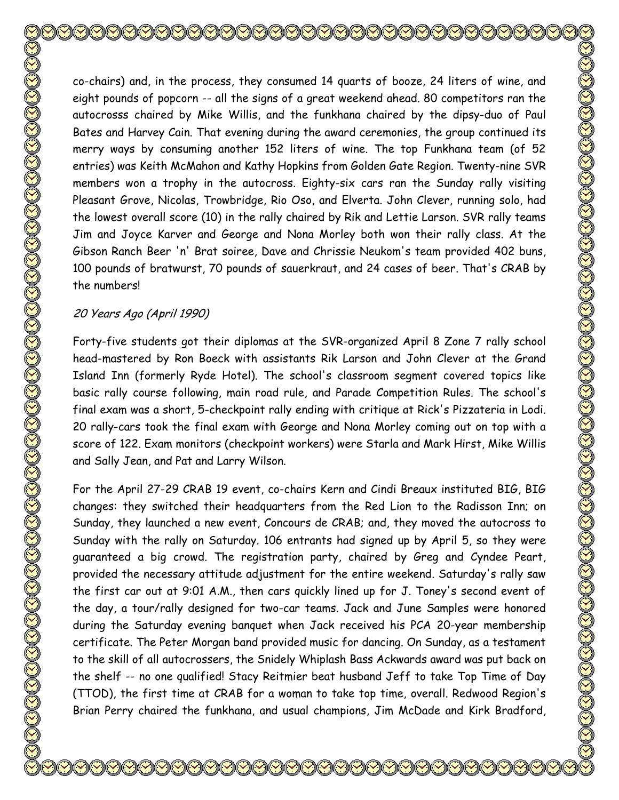co-chairs) and, in the process, they consumed 14 quarts of booze, 24 liters of wine, and eight pounds of popcorn -- all the signs of a great weekend ahead. 80 competitors ran the autocrosss chaired by Mike Willis, and the funkhana chaired by the dipsy-duo of Paul Bates and Harvey Cain. That evening during the award ceremonies, the group continued its merry ways by consuming another 152 liters of wine. The top Funkhana team (of 52 entries) was Keith McMahon and Kathy Hopkins from Golden Gate Region. Twenty-nine SVR members won a trophy in the autocross. Eighty-six cars ran the Sunday rally visiting Pleasant Grove, Nicolas, Trowbridge, Rio Oso, and Elverta. John Clever, running solo, had the lowest overall score (10) in the rally chaired by Rik and Lettie Larson. SVR rally teams Jim and Joyce Karver and George and Nona Morley both won their rally class. At the Gibson Ranch Beer 'n' Brat soiree, Dave and Chrissie Neukom's team provided 402 buns, 100 pounds of bratwurst, 70 pounds of sauerkraut, and 24 cases of beer. That's CRAB by the numbers!

## 20 Years Ago (April 1990)

Forty-five students got their diplomas at the SVR-organized April 8 Zone 7 rally school head-mastered by Ron Boeck with assistants Rik Larson and John Clever at the Grand Island Inn (formerly Ryde Hotel). The school's classroom segment covered topics like basic rally course following, main road rule, and Parade Competition Rules. The school's final exam was a short, 5-checkpoint rally ending with critique at Rick's Pizzateria in Lodi. 20 rally-cars took the final exam with George and Nona Morley coming out on top with a score of 122. Exam monitors (checkpoint workers) were Starla and Mark Hirst, Mike Willis and Sally Jean, and Pat and Larry Wilson.

For the April 27-29 CRAB 19 event, co-chairs Kern and Cindi Breaux instituted BIG, BIG changes: they switched their headquarters from the Red Lion to the Radisson Inn; on Sunday, they launched a new event, Concours de CRAB; and, they moved the autocross to Sunday with the rally on Saturday. 106 entrants had signed up by April 5, so they were guaranteed a big crowd. The registration party, chaired by Greg and Cyndee Peart, provided the necessary attitude adjustment for the entire weekend. Saturday's rally saw the first car out at 9:01 A.M., then cars quickly lined up for J. Toney's second event of the day, a tour/rally designed for two-car teams. Jack and June Samples were honored during the Saturday evening banquet when Jack received his PCA 20-year membership certificate. The Peter Morgan band provided music for dancing. On Sunday, as a testament to the skill of all autocrossers, the Snidely Whiplash Bass Ackwards award was put back on the shelf -- no one qualified! Stacy Reitmier beat husband Jeff to take Top Time of Day (TTOD), the first time at CRAB for a woman to take top time, overall. Redwood Region's Brian Perry chaired the funkhana, and usual champions, Jim McDade and Kirk Bradford,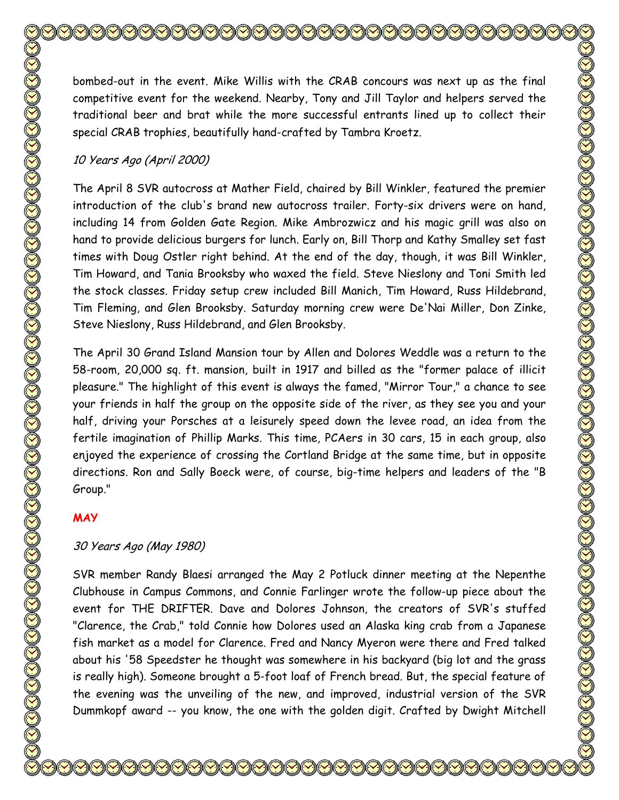bombed-out in the event. Mike Willis with the CRAB concours was next up as the final competitive event for the weekend. Nearby, Tony and Jill Taylor and helpers served the traditional beer and brat while the more successful entrants lined up to collect their special CRAB trophies, beautifully hand-crafted by Tambra Kroetz. 10 Years Ago (April 2000) The April 8 SVR autocross at Mather Field, chaired by Bill Winkler, featured the premier

introduction of the club's brand new autocross trailer. Forty-six drivers were on hand, including 14 from Golden Gate Region. Mike Ambrozwicz and his magic grill was also on hand to provide delicious burgers for lunch. Early on, Bill Thorp and Kathy Smalley set fast times with Doug Ostler right behind. At the end of the day, though, it was Bill Winkler, Tim Howard, and Tania Brooksby who waxed the field. Steve Nieslony and Toni Smith led the stock classes. Friday setup crew included Bill Manich, Tim Howard, Russ Hildebrand, Tim Fleming, and Glen Brooksby. Saturday morning crew were De'Nai Miller, Don Zinke, Steve Nieslony, Russ Hildebrand, and Glen Brooksby.

The April 30 Grand Island Mansion tour by Allen and Dolores Weddle was a return to the 58-room, 20,000 sq. ft. mansion, built in 1917 and billed as the "former palace of illicit pleasure." The highlight of this event is always the famed, "Mirror Tour," a chance to see your friends in half the group on the opposite side of the river, as they see you and your half, driving your Porsches at a leisurely speed down the levee road, an idea from the fertile imagination of Phillip Marks. This time, PCAers in 30 cars, 15 in each group, also enjoyed the experience of crossing the Cortland Bridge at the same time, but in opposite directions. Ron and Sally Boeck were, of course, big-time helpers and leaders of the "B Group."

# **MAY**

# 30 Years Ago (May 1980)

SVR member Randy Blaesi arranged the May 2 Potluck dinner meeting at the Nepenthe Clubhouse in Campus Commons, and Connie Farlinger wrote the follow-up piece about the event for THE DRIFTER. Dave and Dolores Johnson, the creators of SVR's stuffed "Clarence, the Crab," told Connie how Dolores used an Alaska king crab from a Japanese fish market as a model for Clarence. Fred and Nancy Myeron were there and Fred talked about his '58 Speedster he thought was somewhere in his backyard (big lot and the grass is really high). Someone brought a 5-foot loaf of French bread. But, the special feature of the evening was the unveiling of the new, and improved, industrial version of the SVR Dummkopf award -- you know, the one with the golden digit. Crafted by Dwight Mitchell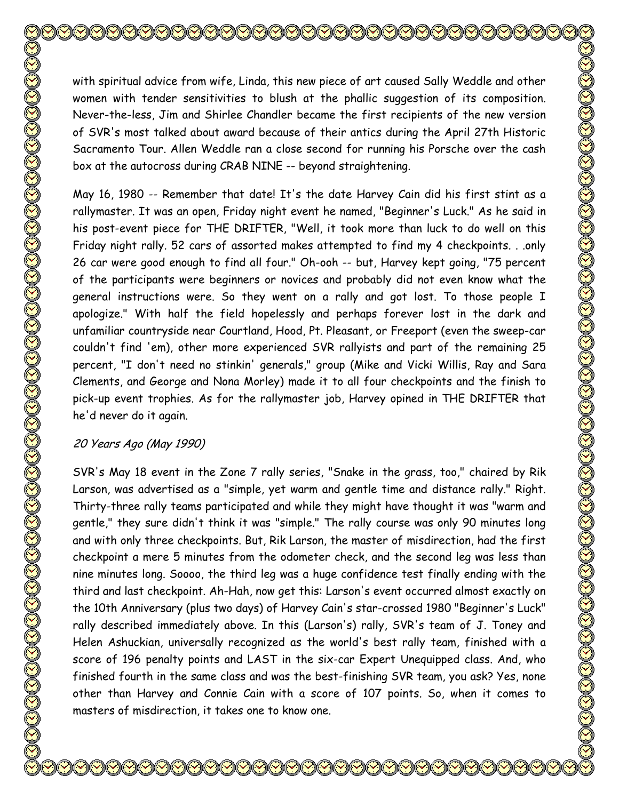with spiritual advice from wife, Linda, this new piece of art caused Sally Weddle and other women with tender sensitivities to blush at the phallic suggestion of its composition. Never-the-less, Jim and Shirlee Chandler became the first recipients of the new version of SVR's most talked about award because of their antics during the April 27th Historic Sacramento Tour. Allen Weddle ran a close second for running his Porsche over the cash box at the autocross during CRAB NINE -- beyond straightening. May 16, 1980 -- Remember that date! It's the date Harvey Cain did his first stint as a

rallymaster. It was an open, Friday night event he named, "Beginner's Luck." As he said in his post-event piece for THE DRIFTER, "Well, it took more than luck to do well on this Friday night rally. 52 cars of assorted makes attempted to find my 4 checkpoints. . .only 26 car were good enough to find all four." Oh-ooh -- but, Harvey kept going, "75 percent of the participants were beginners or novices and probably did not even know what the general instructions were. So they went on a rally and got lost. To those people I apologize." With half the field hopelessly and perhaps forever lost in the dark and unfamiliar countryside near Courtland, Hood, Pt. Pleasant, or Freeport (even the sweep-car couldn't find 'em), other more experienced SVR rallyists and part of the remaining 25 percent, "I don't need no stinkin' generals," group (Mike and Vicki Willis, Ray and Sara Clements, and George and Nona Morley) made it to all four checkpoints and the finish to pick-up event trophies. As for the rallymaster job, Harvey opined in THE DRIFTER that he'd never do it again.

# 20 Years Ago (May 1990)

SVR's May 18 event in the Zone 7 rally series, "Snake in the grass, too," chaired by Rik Larson, was advertised as a "simple, yet warm and gentle time and distance rally." Right. Thirty-three rally teams participated and while they might have thought it was "warm and gentle," they sure didn't think it was "simple." The rally course was only 90 minutes long and with only three checkpoints. But, Rik Larson, the master of misdirection, had the first checkpoint a mere 5 minutes from the odometer check, and the second leg was less than nine minutes long. Soooo, the third leg was a huge confidence test finally ending with the third and last checkpoint. Ah-Hah, now get this: Larson's event occurred almost exactly on the 10th Anniversary (plus two days) of Harvey Cain's star-crossed 1980 "Beginner's Luck" rally described immediately above. In this (Larson's) rally, SVR's team of J. Toney and Helen Ashuckian, universally recognized as the world's best rally team, finished with a score of 196 penalty points and LAST in the six-car Expert Unequipped class. And, who finished fourth in the same class and was the best-finishing SVR team, you ask? Yes, none other than Harvey and Connie Cain with a score of 107 points. So, when it comes to masters of misdirection, it takes one to know one.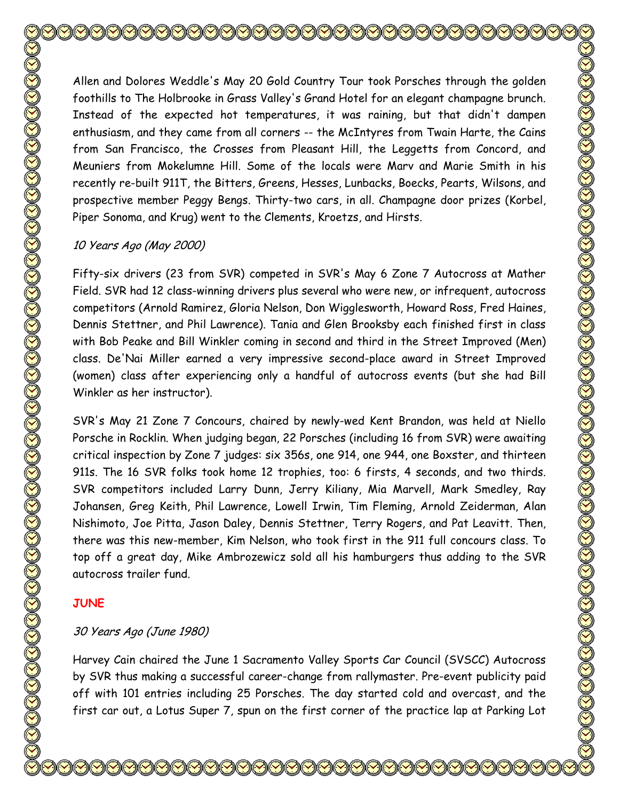Allen and Dolores Weddle's May 20 Gold Country Tour took Porsches through the golden foothills to The Holbrooke in Grass Valley's Grand Hotel for an elegant champagne brunch. Instead of the expected hot temperatures, it was raining, but that didn't dampen enthusiasm, and they came from all corners -- the McIntyres from Twain Harte, the Cains from San Francisco, the Crosses from Pleasant Hill, the Leggetts from Concord, and Meuniers from Mokelumne Hill. Some of the locals were Marv and Marie Smith in his recently re-built 911T, the Bitters, Greens, Hesses, Lunbacks, Boecks, Pearts, Wilsons, and prospective member Peggy Bengs. Thirty-two cars, in all. Champagne door prizes (Korbel, Piper Sonoma, and Krug) went to the Clements, Kroetzs, and Hirsts.

## 10 Years Ago (May 2000)

Fifty-six drivers (23 from SVR) competed in SVR's May 6 Zone 7 Autocross at Mather Field. SVR had 12 class-winning drivers plus several who were new, or infrequent, autocross competitors (Arnold Ramirez, Gloria Nelson, Don Wigglesworth, Howard Ross, Fred Haines, Dennis Stettner, and Phil Lawrence). Tania and Glen Brooksby each finished first in class with Bob Peake and Bill Winkler coming in second and third in the Street Improved (Men) class. De'Nai Miller earned a very impressive second-place award in Street Improved (women) class after experiencing only a handful of autocross events (but she had Bill Winkler as her instructor).

SVR's May 21 Zone 7 Concours, chaired by newly-wed Kent Brandon, was held at Niello Porsche in Rocklin. When judging began, 22 Porsches (including 16 from SVR) were awaiting critical inspection by Zone 7 judges: six 356s, one 914, one 944, one Boxster, and thirteen 911s. The 16 SVR folks took home 12 trophies, too: 6 firsts, 4 seconds, and two thirds. SVR competitors included Larry Dunn, Jerry Kiliany, Mia Marvell, Mark Smedley, Ray Johansen, Greg Keith, Phil Lawrence, Lowell Irwin, Tim Fleming, Arnold Zeiderman, Alan Nishimoto, Joe Pitta, Jason Daley, Dennis Stettner, Terry Rogers, and Pat Leavitt. Then, there was this new-member, Kim Nelson, who took first in the 911 full concours class. To top off a great day, Mike Ambrozewicz sold all his hamburgers thus adding to the SVR autocross trailer fund.

## **JUNE**

## 30 Years Ago (June 1980)

Harvey Cain chaired the June 1 Sacramento Valley Sports Car Council (SVSCC) Autocross by SVR thus making a successful career-change from rallymaster. Pre-event publicity paid off with 101 entries including 25 Porsches. The day started cold and overcast, and the first car out, a Lotus Super 7, spun on the first corner of the practice lap at Parking Lot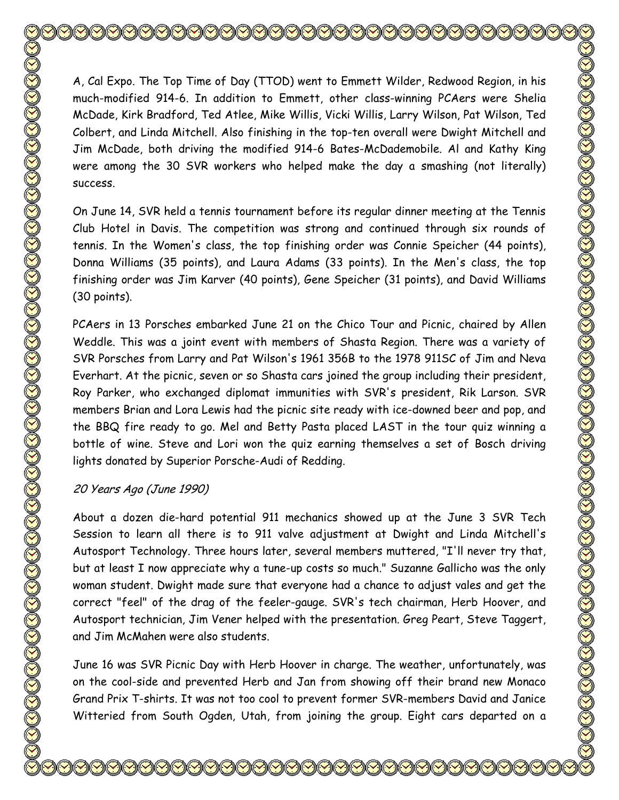A, Cal Expo. The Top Time of Day (TTOD) went to Emmett Wilder, Redwood Region, in his much-modified 914-6. In addition to Emmett, other class-winning PCAers were Shelia McDade, Kirk Bradford, Ted Atlee, Mike Willis, Vicki Willis, Larry Wilson, Pat Wilson, Ted Colbert, and Linda Mitchell. Also finishing in the top-ten overall were Dwight Mitchell and Jim McDade, both driving the modified 914-6 Bates-McDademobile. Al and Kathy King were among the 30 SVR workers who helped make the day a smashing (not literally) success.

On June 14, SVR held a tennis tournament before its regular dinner meeting at the Tennis Club Hotel in Davis. The competition was strong and continued through six rounds of tennis. In the Women's class, the top finishing order was Connie Speicher (44 points), Donna Williams (35 points), and Laura Adams (33 points). In the Men's class, the top finishing order was Jim Karver (40 points), Gene Speicher (31 points), and David Williams (30 points).

PCAers in 13 Porsches embarked June 21 on the Chico Tour and Picnic, chaired by Allen Weddle. This was a joint event with members of Shasta Region. There was a variety of SVR Porsches from Larry and Pat Wilson's 1961 356B to the 1978 911SC of Jim and Neva Everhart. At the picnic, seven or so Shasta cars joined the group including their president, Roy Parker, who exchanged diplomat immunities with SVR's president, Rik Larson. SVR members Brian and Lora Lewis had the picnic site ready with ice-downed beer and pop, and the BBQ fire ready to go. Mel and Betty Pasta placed LAST in the tour quiz winning a bottle of wine. Steve and Lori won the quiz earning themselves a set of Bosch driving lights donated by Superior Porsche-Audi of Redding.

## 20 Years Ago (June 1990)

About a dozen die-hard potential 911 mechanics showed up at the June 3 SVR Tech Session to learn all there is to 911 valve adjustment at Dwight and Linda Mitchell's Autosport Technology. Three hours later, several members muttered, "I'll never try that, but at least I now appreciate why a tune-up costs so much." Suzanne Gallicho was the only woman student. Dwight made sure that everyone had a chance to adjust vales and get the correct "feel" of the drag of the feeler-gauge. SVR's tech chairman, Herb Hoover, and Autosport technician, Jim Vener helped with the presentation. Greg Peart, Steve Taggert, and Jim McMahen were also students.

June 16 was SVR Picnic Day with Herb Hoover in charge. The weather, unfortunately, was on the cool-side and prevented Herb and Jan from showing off their brand new Monaco Grand Prix T-shirts. It was not too cool to prevent former SVR-members David and Janice Witteried from South Ogden, Utah, from joining the group. Eight cars departed on a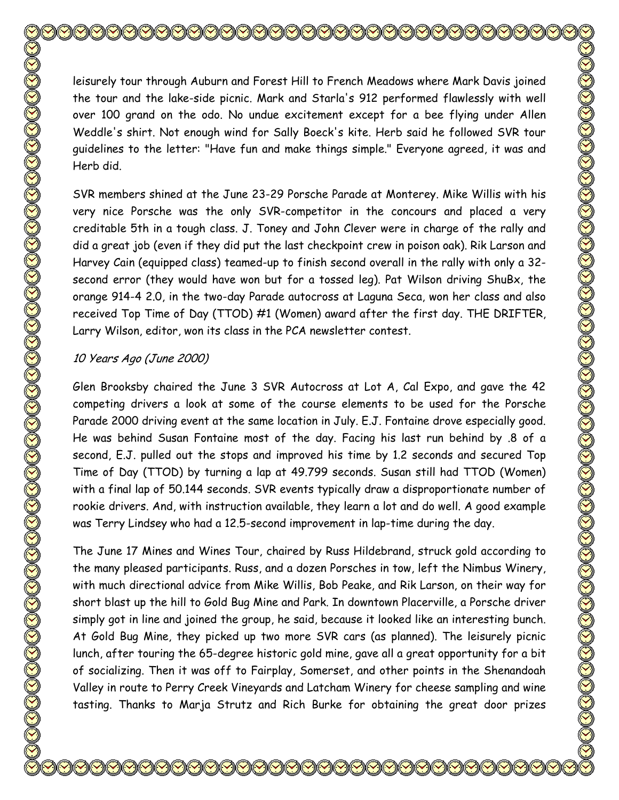leisurely tour through Auburn and Forest Hill to French Meadows where Mark Davis joined the tour and the lake-side picnic. Mark and Starla's 912 performed flawlessly with well over 100 grand on the odo. No undue excitement except for a bee flying under Allen Weddle's shirt. Not enough wind for Sally Boeck's kite. Herb said he followed SVR tour guidelines to the letter: "Have fun and make things simple." Everyone agreed, it was and Herb did.

SVR members shined at the June 23-29 Porsche Parade at Monterey. Mike Willis with his very nice Porsche was the only SVR-competitor in the concours and placed a very creditable 5th in a tough class. J. Toney and John Clever were in charge of the rally and did a great job (even if they did put the last checkpoint crew in poison oak). Rik Larson and Harvey Cain (equipped class) teamed-up to finish second overall in the rally with only a 32 second error (they would have won but for a tossed leg). Pat Wilson driving ShuBx, the orange 914-4 2.0, in the two-day Parade autocross at Laguna Seca, won her class and also received Top Time of Day (TTOD) #1 (Women) award after the first day. THE DRIFTER, Larry Wilson, editor, won its class in the PCA newsletter contest.

# 10 Years Ago (June 2000)

Glen Brooksby chaired the June 3 SVR Autocross at Lot A, Cal Expo, and gave the 42 competing drivers a look at some of the course elements to be used for the Porsche Parade 2000 driving event at the same location in July. E.J. Fontaine drove especially good. He was behind Susan Fontaine most of the day. Facing his last run behind by .8 of a second, E.J. pulled out the stops and improved his time by 1.2 seconds and secured Top Time of Day (TTOD) by turning a lap at 49.799 seconds. Susan still had TTOD (Women) with a final lap of 50.144 seconds. SVR events typically draw a disproportionate number of rookie drivers. And, with instruction available, they learn a lot and do well. A good example was Terry Lindsey who had a 12.5-second improvement in lap-time during the day.

The June 17 Mines and Wines Tour, chaired by Russ Hildebrand, struck gold according to the many pleased participants. Russ, and a dozen Porsches in tow, left the Nimbus Winery, with much directional advice from Mike Willis, Bob Peake, and Rik Larson, on their way for short blast up the hill to Gold Bug Mine and Park. In downtown Placerville, a Porsche driver simply got in line and joined the group, he said, because it looked like an interesting bunch. At Gold Bug Mine, they picked up two more SVR cars (as planned). The leisurely picnic lunch, after touring the 65-degree historic gold mine, gave all a great opportunity for a bit of socializing. Then it was off to Fairplay, Somerset, and other points in the Shenandoah Valley in route to Perry Creek Vineyards and Latcham Winery for cheese sampling and wine tasting. Thanks to Marja Strutz and Rich Burke for obtaining the great door prizes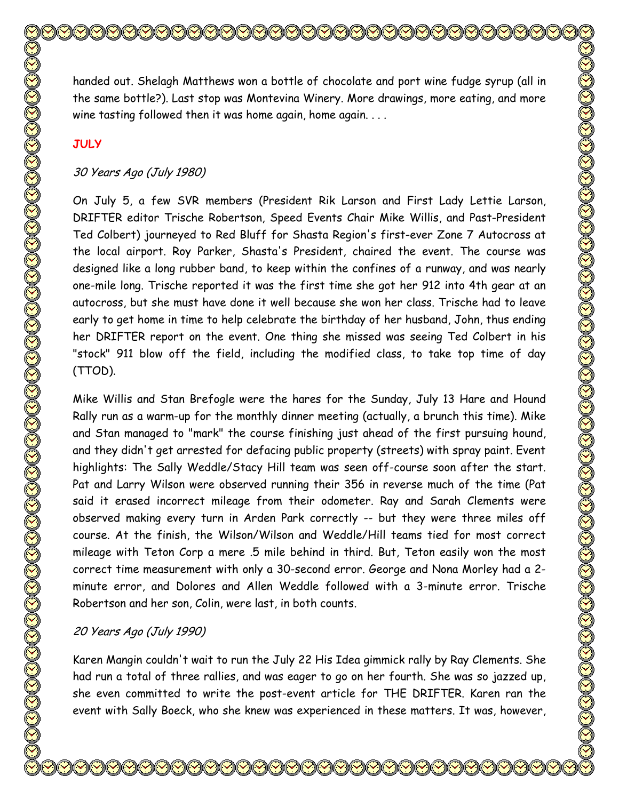handed out. Shelagh Matthews won a bottle of chocolate and port wine fudge syrup (all in the same bottle?). Last stop was Montevina Winery. More drawings, more eating, and more wine tasting followed then it was home again, home again. . . .

### **JULY**

### 30 Years Ago (July 1980)

On July 5, a few SVR members (President Rik Larson and First Lady Lettie Larson, DRIFTER editor Trische Robertson, Speed Events Chair Mike Willis, and Past-President Ted Colbert) journeyed to Red Bluff for Shasta Region's first-ever Zone 7 Autocross at the local airport. Roy Parker, Shasta's President, chaired the event. The course was designed like a long rubber band, to keep within the confines of a runway, and was nearly one-mile long. Trische reported it was the first time she got her 912 into 4th gear at an autocross, but she must have done it well because she won her class. Trische had to leave early to get home in time to help celebrate the birthday of her husband, John, thus ending her DRIFTER report on the event. One thing she missed was seeing Ted Colbert in his "stock" 911 blow off the field, including the modified class, to take top time of day (TTOD).

Mike Willis and Stan Brefogle were the hares for the Sunday, July 13 Hare and Hound Rally run as a warm-up for the monthly dinner meeting (actually, a brunch this time). Mike and Stan managed to "mark" the course finishing just ahead of the first pursuing hound, and they didn't get arrested for defacing public property (streets) with spray paint. Event highlights: The Sally Weddle/Stacy Hill team was seen off-course soon after the start. Pat and Larry Wilson were observed running their 356 in reverse much of the time (Pat said it erased incorrect mileage from their odometer. Ray and Sarah Clements were observed making every turn in Arden Park correctly -- but they were three miles off course. At the finish, the Wilson/Wilson and Weddle/Hill teams tied for most correct mileage with Teton Corp a mere .5 mile behind in third. But, Teton easily won the most correct time measurement with only a 30-second error. George and Nona Morley had a 2 minute error, and Dolores and Allen Weddle followed with a 3-minute error. Trische Robertson and her son, Colin, were last, in both counts.

#### 20 Years Ago (July 1990)

Karen Mangin couldn't wait to run the July 22 His Idea gimmick rally by Ray Clements. She had run a total of three rallies, and was eager to go on her fourth. She was so jazzed up, she even committed to write the post-event article for THE DRIFTER. Karen ran the event with Sally Boeck, who she knew was experienced in these matters. It was, however,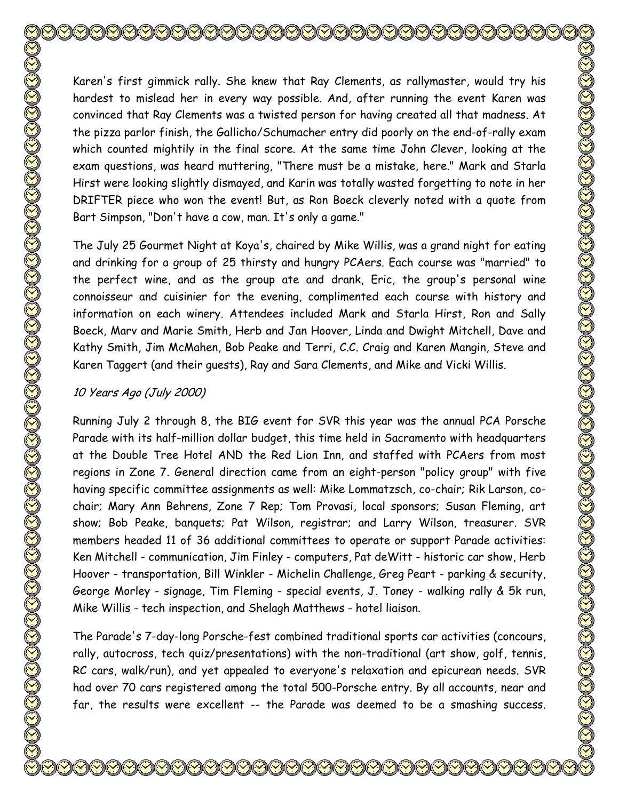Karen's first gimmick rally. She knew that Ray Clements, as rallymaster, would try his hardest to mislead her in every way possible. And, after running the event Karen was convinced that Ray Clements was a twisted person for having created all that madness. At the pizza parlor finish, the Gallicho/Schumacher entry did poorly on the end-of-rally exam which counted mightily in the final score. At the same time John Clever, looking at the exam questions, was heard muttering, "There must be a mistake, here." Mark and Starla Hirst were looking slightly dismayed, and Karin was totally wasted forgetting to note in her DRIFTER piece who won the event! But, as Ron Boeck cleverly noted with a quote from Bart Simpson, "Don't have a cow, man. It's only a game." The July 25 Gourmet Night at Koya's, chaired by Mike Willis, was a grand night for eating

and drinking for a group of 25 thirsty and hungry PCAers. Each course was "married" to the perfect wine, and as the group ate and drank, Eric, the group's personal wine connoisseur and cuisinier for the evening, complimented each course with history and information on each winery. Attendees included Mark and Starla Hirst, Ron and Sally Boeck, Marv and Marie Smith, Herb and Jan Hoover, Linda and Dwight Mitchell, Dave and Kathy Smith, Jim McMahen, Bob Peake and Terri, C.C. Craig and Karen Mangin, Steve and Karen Taggert (and their guests), Ray and Sara Clements, and Mike and Vicki Willis.

## 10 Years Ago (July 2000)

Running July 2 through 8, the BIG event for SVR this year was the annual PCA Porsche Parade with its half-million dollar budget, this time held in Sacramento with headquarters at the Double Tree Hotel AND the Red Lion Inn, and staffed with PCAers from most regions in Zone 7. General direction came from an eight-person "policy group" with five having specific committee assignments as well: Mike Lommatzsch, co-chair; Rik Larson, cochair; Mary Ann Behrens, Zone 7 Rep; Tom Provasi, local sponsors; Susan Fleming, art show; Bob Peake, banquets; Pat Wilson, registrar; and Larry Wilson, treasurer. SVR members headed 11 of 36 additional committees to operate or support Parade activities: Ken Mitchell - communication, Jim Finley - computers, Pat deWitt - historic car show, Herb Hoover - transportation, Bill Winkler - Michelin Challenge, Greg Peart - parking & security, George Morley - signage, Tim Fleming - special events, J. Toney - walking rally & 5k run, Mike Willis - tech inspection, and Shelagh Matthews - hotel liaison.

The Parade's 7-day-long Porsche-fest combined traditional sports car activities (concours, rally, autocross, tech quiz/presentations) with the non-traditional (art show, golf, tennis, RC cars, walk/run), and yet appealed to everyone's relaxation and epicurean needs. SVR had over 70 cars registered among the total 500-Porsche entry. By all accounts, near and far, the results were excellent -- the Parade was deemed to be a smashing success.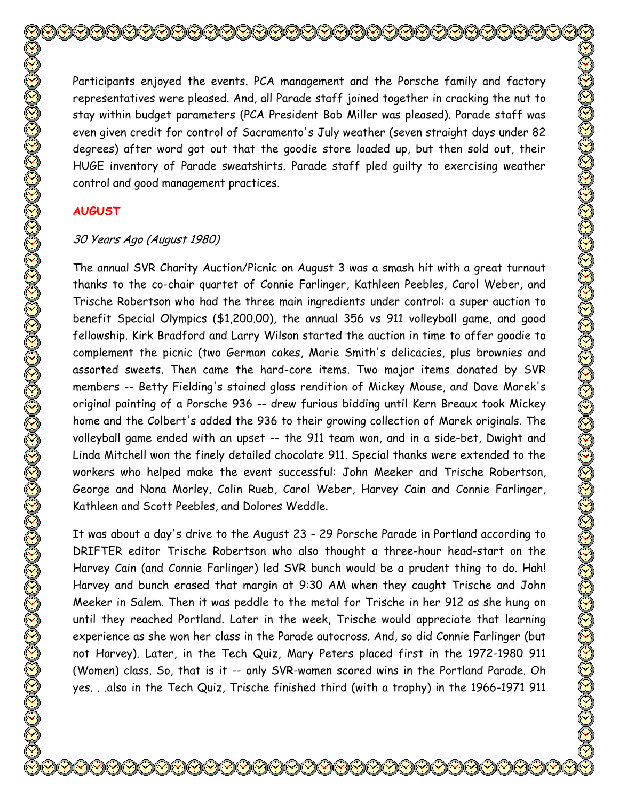Participants enjoyed the events. PCA management and the Porsche family and factory representatives were pleased. And, all Parade staff joined together in cracking the nut to stay within budget parameters (PCA President Bob Miller was pleased). Parade staff was even given credit for control of Sacramento's July weather (seven straight days under 82 degrees) after word got out that the goodie store loaded up, but then sold out, their HUGE inventory of Parade sweatshirts. Parade staff pled guilty to exercising weather control and good management practices.

## **AUGUST**

#### 30 Years Ago (August 1980)

The annual SVR Charity Auction/Picnic on August 3 was a smash hit with a great turnout thanks to the co-chair quartet of Connie Farlinger, Kathleen Peebles, Carol Weber, and Trische Robertson who had the three main ingredients under control: a super auction to benefit Special Olympics (\$1,200.00), the annual 356 vs 911 volleyball game, and good fellowship. Kirk Bradford and Larry Wilson started the auction in time to offer goodie to complement the picnic (two German cakes, Marie Smith's delicacies, plus brownies and assorted sweets. Then came the hard-core items. Two major items donated by SVR members -- Betty Fielding's stained glass rendition of Mickey Mouse, and Dave Marek's original painting of a Porsche 936 -- drew furious bidding until Kern Breaux took Mickey home and the Colbert's added the 936 to their growing collection of Marek originals. The volleyball game ended with an upset -- the 911 team won, and in a side-bet, Dwight and Linda Mitchell won the finely detailed chocolate 911. Special thanks were extended to the workers who helped make the event successful: John Meeker and Trische Robertson, George and Nona Morley, Colin Rueb, Carol Weber, Harvey Cain and Connie Farlinger, Kathleen and Scott Peebles, and Dolores Weddle.

It was about a day's drive to the August 23 - 29 Porsche Parade in Portland according to DRIFTER editor Trische Robertson who also thought a three-hour head-start on the Harvey Cain (and Connie Farlinger) led SVR bunch would be a prudent thing to do. Hah! Harvey and bunch erased that margin at 9:30 AM when they caught Trische and John Meeker in Salem. Then it was peddle to the metal for Trische in her 912 as she hung on until they reached Portland. Later in the week, Trische would appreciate that learning experience as she won her class in the Parade autocross. And, so did Connie Farlinger (but not Harvey). Later, in the Tech Quiz, Mary Peters placed first in the 1972-1980 911 (Women) class. So, that is it -- only SVR-women scored wins in the Portland Parade. Oh yes. . .also in the Tech Quiz, Trische finished third (with a trophy) in the 1966-1971 911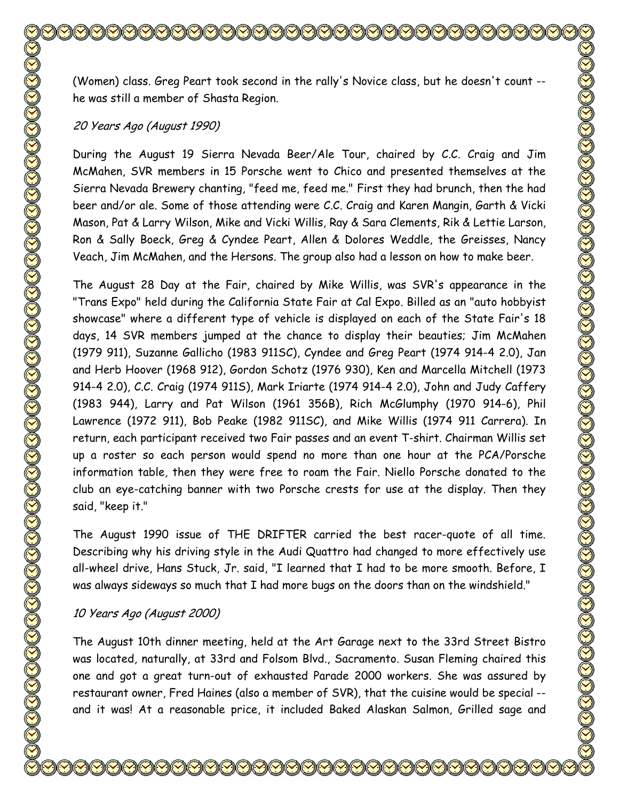(Women) class. Greg Peart took second in the rally's Novice class, but he doesn't count - he was still a member of Shasta Region.

#### 20 Years Ago (August 1990)

During the August 19 Sierra Nevada Beer/Ale Tour, chaired by C.C. Craig and Jim McMahen, SVR members in 15 Porsche went to Chico and presented themselves at the Sierra Nevada Brewery chanting, "feed me, feed me." First they had brunch, then the had beer and/or ale. Some of those attending were C.C. Craig and Karen Mangin, Garth & Vicki Mason, Pat & Larry Wilson, Mike and Vicki Willis, Ray & Sara Clements, Rik & Lettie Larson, Ron & Sally Boeck, Greg & Cyndee Peart, Allen & Dolores Weddle, the Greisses, Nancy Veach, Jim McMahen, and the Hersons. The group also had a lesson on how to make beer.

The August 28 Day at the Fair, chaired by Mike Willis, was SVR's appearance in the "Trans Expo" held during the California State Fair at Cal Expo. Billed as an "auto hobbyist showcase" where a different type of vehicle is displayed on each of the State Fair's 18 days, 14 SVR members jumped at the chance to display their beauties; Jim McMahen (1979 911), Suzanne Gallicho (1983 911SC), Cyndee and Greg Peart (1974 914-4 2.0), Jan and Herb Hoover (1968 912), Gordon Schotz (1976 930), Ken and Marcella Mitchell (1973 914-4 2.0), C.C. Craig (1974 911S), Mark Iriarte (1974 914-4 2.0), John and Judy Caffery (1983 944), Larry and Pat Wilson (1961 356B), Rich McGlumphy (1970 914-6), Phil Lawrence (1972 911), Bob Peake (1982 911SC), and Mike Willis (1974 911 Carrera). In return, each participant received two Fair passes and an event T-shirt. Chairman Willis set up a roster so each person would spend no more than one hour at the PCA/Porsche information table, then they were free to roam the Fair. Niello Porsche donated to the club an eye-catching banner with two Porsche crests for use at the display. Then they said, "keep it."

The August 1990 issue of THE DRIFTER carried the best racer-quote of all time. Describing why his driving style in the Audi Quattro had changed to more effectively use all-wheel drive, Hans Stuck, Jr. said, "I learned that I had to be more smooth. Before, I was always sideways so much that I had more bugs on the doors than on the windshield."

#### 10 Years Ago (August 2000)

The August 10th dinner meeting, held at the Art Garage next to the 33rd Street Bistro was located, naturally, at 33rd and Folsom Blvd., Sacramento. Susan Fleming chaired this one and got a great turn-out of exhausted Parade 2000 workers. She was assured by restaurant owner, Fred Haines (also a member of SVR), that the cuisine would be special - and it was! At a reasonable price, it included Baked Alaskan Salmon, Grilled sage and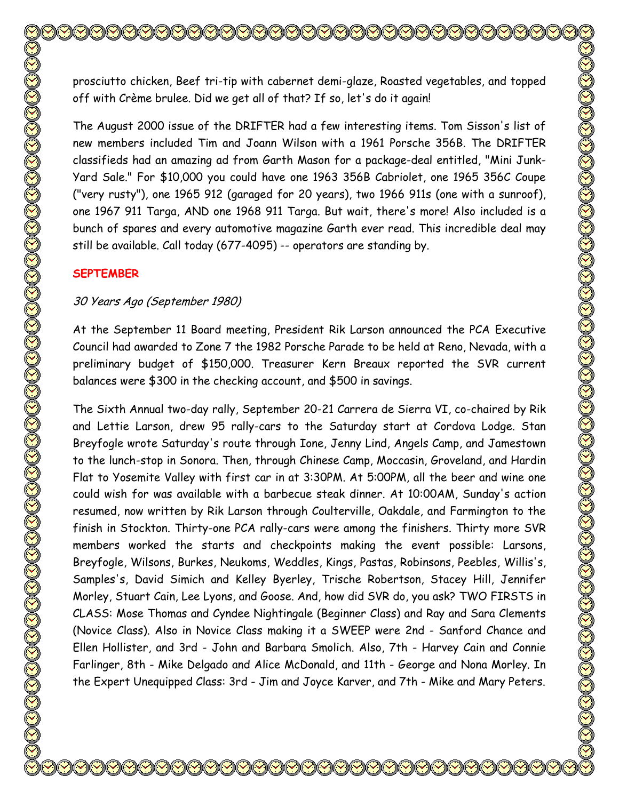prosciutto chicken, Beef tri-tip with cabernet demi-glaze, Roasted vegetables, and topped off with Crème brulee. Did we get all of that? If so, let's do it again!

The August 2000 issue of the DRIFTER had a few interesting items. Tom Sisson's list of new members included Tim and Joann Wilson with a 1961 Porsche 356B. The DRIFTER classifieds had an amazing ad from Garth Mason for a package-deal entitled, "Mini Junk-Yard Sale." For \$10,000 you could have one 1963 356B Cabriolet, one 1965 356C Coupe ("very rusty"), one 1965 912 (garaged for 20 years), two 1966 911s (one with a sunroof), one 1967 911 Targa, AND one 1968 911 Targa. But wait, there's more! Also included is a bunch of spares and every automotive magazine Garth ever read. This incredible deal may still be available. Call today (677-4095) -- operators are standing by.

# **SEPTEMBER**

# 30 Years Ago (September 1980)

At the September 11 Board meeting, President Rik Larson announced the PCA Executive Council had awarded to Zone 7 the 1982 Porsche Parade to be held at Reno, Nevada, with a preliminary budget of \$150,000. Treasurer Kern Breaux reported the SVR current balances were \$300 in the checking account, and \$500 in savings.

The Sixth Annual two-day rally, September 20-21 Carrera de Sierra VI, co-chaired by Rik and Lettie Larson, drew 95 rally-cars to the Saturday start at Cordova Lodge. Stan Breyfogle wrote Saturday's route through Ione, Jenny Lind, Angels Camp, and Jamestown to the lunch-stop in Sonora. Then, through Chinese Camp, Moccasin, Groveland, and Hardin Flat to Yosemite Valley with first car in at 3:30PM. At 5:00PM, all the beer and wine one could wish for was available with a barbecue steak dinner. At 10:00AM, Sunday's action resumed, now written by Rik Larson through Coulterville, Oakdale, and Farmington to the finish in Stockton. Thirty-one PCA rally-cars were among the finishers. Thirty more SVR members worked the starts and checkpoints making the event possible: Larsons, Breyfogle, Wilsons, Burkes, Neukoms, Weddles, Kings, Pastas, Robinsons, Peebles, Willis's, Samples's, David Simich and Kelley Byerley, Trische Robertson, Stacey Hill, Jennifer Morley, Stuart Cain, Lee Lyons, and Goose. And, how did SVR do, you ask? TWO FIRSTS in CLASS: Mose Thomas and Cyndee Nightingale (Beginner Class) and Ray and Sara Clements (Novice Class). Also in Novice Class making it a SWEEP were 2nd - Sanford Chance and Ellen Hollister, and 3rd - John and Barbara Smolich. Also, 7th - Harvey Cain and Connie Farlinger, 8th - Mike Delgado and Alice McDonald, and 11th - George and Nona Morley. In the Expert Unequipped Class: 3rd - Jim and Joyce Karver, and 7th - Mike and Mary Peters.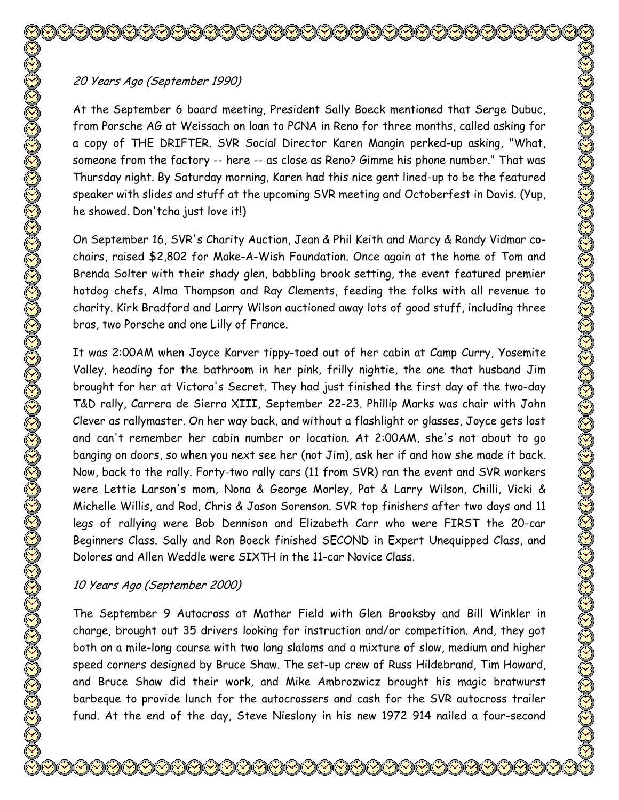# 20 Years Ago (September 1990)

At the September 6 board meeting, President Sally Boeck mentioned that Serge Dubuc, from Porsche AG at Weissach on loan to PCNA in Reno for three months, called asking for a copy of THE DRIFTER. SVR Social Director Karen Mangin perked-up asking, "What, someone from the factory -- here -- as close as Reno? Gimme his phone number." That was Thursday night. By Saturday morning, Karen had this nice gent lined-up to be the featured speaker with slides and stuff at the upcoming SVR meeting and Octoberfest in Davis. (Yup, he showed. Don'tcha just love it!)

On September 16, SVR's Charity Auction, Jean & Phil Keith and Marcy & Randy Vidmar cochairs, raised \$2,802 for Make-A-Wish Foundation. Once again at the home of Tom and Brenda Solter with their shady glen, babbling brook setting, the event featured premier hotdog chefs, Alma Thompson and Ray Clements, feeding the folks with all revenue to charity. Kirk Bradford and Larry Wilson auctioned away lots of good stuff, including three bras, two Porsche and one Lilly of France.

It was 2:00AM when Joyce Karver tippy-toed out of her cabin at Camp Curry, Yosemite Valley, heading for the bathroom in her pink, frilly nightie, the one that husband Jim brought for her at Victora's Secret. They had just finished the first day of the two-day T&D rally, Carrera de Sierra XIII, September 22-23. Phillip Marks was chair with John Clever as rallymaster. On her way back, and without a flashlight or glasses, Joyce gets lost and can't remember her cabin number or location. At 2:00AM, she's not about to go banging on doors, so when you next see her (not Jim), ask her if and how she made it back. Now, back to the rally. Forty-two rally cars (11 from SVR) ran the event and SVR workers were Lettie Larson's mom, Nona & George Morley, Pat & Larry Wilson, Chilli, Vicki & Michelle Willis, and Rod, Chris & Jason Sorenson. SVR top finishers after two days and 11 legs of rallying were Bob Dennison and Elizabeth Carr who were FIRST the 20-car Beginners Class. Sally and Ron Boeck finished SECOND in Expert Unequipped Class, and Dolores and Allen Weddle were SIXTH in the 11-car Novice Class.

# 10 Years Ago (September 2000)

The September 9 Autocross at Mather Field with Glen Brooksby and Bill Winkler in charge, brought out 35 drivers looking for instruction and/or competition. And, they got both on a mile-long course with two long slaloms and a mixture of slow, medium and higher speed corners designed by Bruce Shaw. The set-up crew of Russ Hildebrand, Tim Howard, and Bruce Shaw did their work, and Mike Ambrozwicz brought his magic bratwurst barbeque to provide lunch for the autocrossers and cash for the SVR autocross trailer fund. At the end of the day, Steve Nieslony in his new 1972 914 nailed a four-second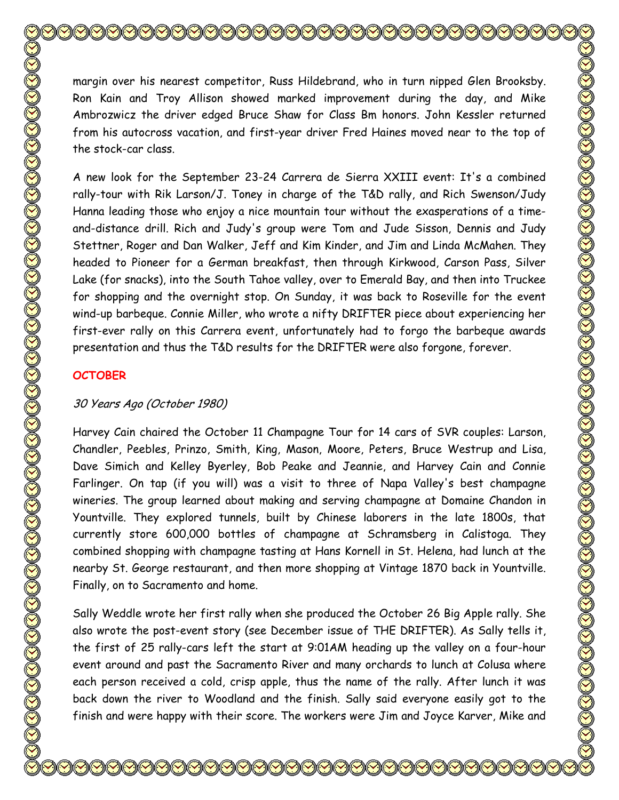margin over his nearest competitor, Russ Hildebrand, who in turn nipped Glen Brooksby. Ron Kain and Troy Allison showed marked improvement during the day, and Mike Ambrozwicz the driver edged Bruce Shaw for Class Bm honors. John Kessler returned from his autocross vacation, and first-year driver Fred Haines moved near to the top of the stock-car class.

A new look for the September 23-24 Carrera de Sierra XXIII event: It's a combined rally-tour with Rik Larson/J. Toney in charge of the T&D rally, and Rich Swenson/Judy Hanna leading those who enjoy a nice mountain tour without the exasperations of a timeand-distance drill. Rich and Judy's group were Tom and Jude Sisson, Dennis and Judy Stettner, Roger and Dan Walker, Jeff and Kim Kinder, and Jim and Linda McMahen. They headed to Pioneer for a German breakfast, then through Kirkwood, Carson Pass, Silver Lake (for snacks), into the South Tahoe valley, over to Emerald Bay, and then into Truckee for shopping and the overnight stop. On Sunday, it was back to Roseville for the event wind-up barbeque. Connie Miller, who wrote a nifty DRIFTER piece about experiencing her first-ever rally on this Carrera event, unfortunately had to forgo the barbeque awards presentation and thus the T&D results for the DRIFTER were also forgone, forever.

# **OCTOBER**

# 30 Years Ago (October 1980)

Harvey Cain chaired the October 11 Champagne Tour for 14 cars of SVR couples: Larson, Chandler, Peebles, Prinzo, Smith, King, Mason, Moore, Peters, Bruce Westrup and Lisa, Dave Simich and Kelley Byerley, Bob Peake and Jeannie, and Harvey Cain and Connie Farlinger. On tap (if you will) was a visit to three of Napa Valley's best champagne wineries. The group learned about making and serving champagne at Domaine Chandon in Yountville. They explored tunnels, built by Chinese laborers in the late 1800s, that currently store 600,000 bottles of champagne at Schramsberg in Calistoga. They combined shopping with champagne tasting at Hans Kornell in St. Helena, had lunch at the nearby St. George restaurant, and then more shopping at Vintage 1870 back in Yountville. Finally, on to Sacramento and home.

Sally Weddle wrote her first rally when she produced the October 26 Big Apple rally. She also wrote the post-event story (see December issue of THE DRIFTER). As Sally tells it, the first of 25 rally-cars left the start at 9:01AM heading up the valley on a four-hour event around and past the Sacramento River and many orchards to lunch at Colusa where each person received a cold, crisp apple, thus the name of the rally. After lunch it was back down the river to Woodland and the finish. Sally said everyone easily got to the finish and were happy with their score. The workers were Jim and Joyce Karver, Mike and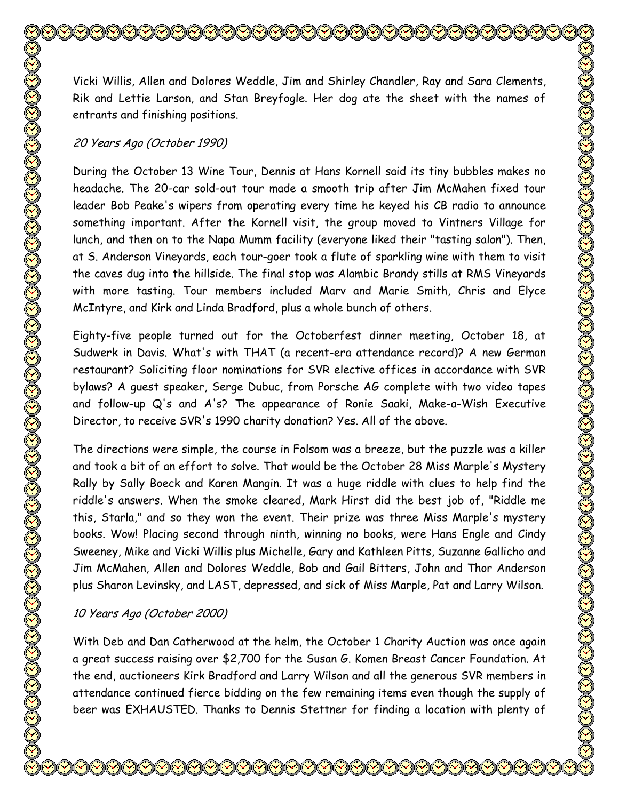Vicki Willis, Allen and Dolores Weddle, Jim and Shirley Chandler, Ray and Sara Clements, Rik and Lettie Larson, and Stan Breyfogle. Her dog ate the sheet with the names of entrants and finishing positions.

#### 20 Years Ago (October 1990)

During the October 13 Wine Tour, Dennis at Hans Kornell said its tiny bubbles makes no headache. The 20-car sold-out tour made a smooth trip after Jim McMahen fixed tour leader Bob Peake's wipers from operating every time he keyed his CB radio to announce something important. After the Kornell visit, the group moved to Vintners Village for lunch, and then on to the Napa Mumm facility (everyone liked their "tasting salon"). Then, at S. Anderson Vineyards, each tour-goer took a flute of sparkling wine with them to visit the caves dug into the hillside. The final stop was Alambic Brandy stills at RMS Vineyards with more tasting. Tour members included Marv and Marie Smith, Chris and Elyce McIntyre, and Kirk and Linda Bradford, plus a whole bunch of others.

Eighty-five people turned out for the Octoberfest dinner meeting, October 18, at Sudwerk in Davis. What's with THAT (a recent-era attendance record)? A new German restaurant? Soliciting floor nominations for SVR elective offices in accordance with SVR bylaws? A guest speaker, Serge Dubuc, from Porsche AG complete with two video tapes and follow-up Q's and A's? The appearance of Ronie Saaki, Make-a-Wish Executive Director, to receive SVR's 1990 charity donation? Yes. All of the above.

The directions were simple, the course in Folsom was a breeze, but the puzzle was a killer and took a bit of an effort to solve. That would be the October 28 Miss Marple's Mystery Rally by Sally Boeck and Karen Mangin. It was a huge riddle with clues to help find the riddle's answers. When the smoke cleared, Mark Hirst did the best job of, "Riddle me this, Starla," and so they won the event. Their prize was three Miss Marple's mystery books. Wow! Placing second through ninth, winning no books, were Hans Engle and Cindy Sweeney, Mike and Vicki Willis plus Michelle, Gary and Kathleen Pitts, Suzanne Gallicho and Jim McMahen, Allen and Dolores Weddle, Bob and Gail Bitters, John and Thor Anderson plus Sharon Levinsky, and LAST, depressed, and sick of Miss Marple, Pat and Larry Wilson.

## 10 Years Ago (October 2000)

With Deb and Dan Catherwood at the helm, the October 1 Charity Auction was once again a great success raising over \$2,700 for the Susan G. Komen Breast Cancer Foundation. At the end, auctioneers Kirk Bradford and Larry Wilson and all the generous SVR members in attendance continued fierce bidding on the few remaining items even though the supply of beer was EXHAUSTED. Thanks to Dennis Stettner for finding a location with plenty of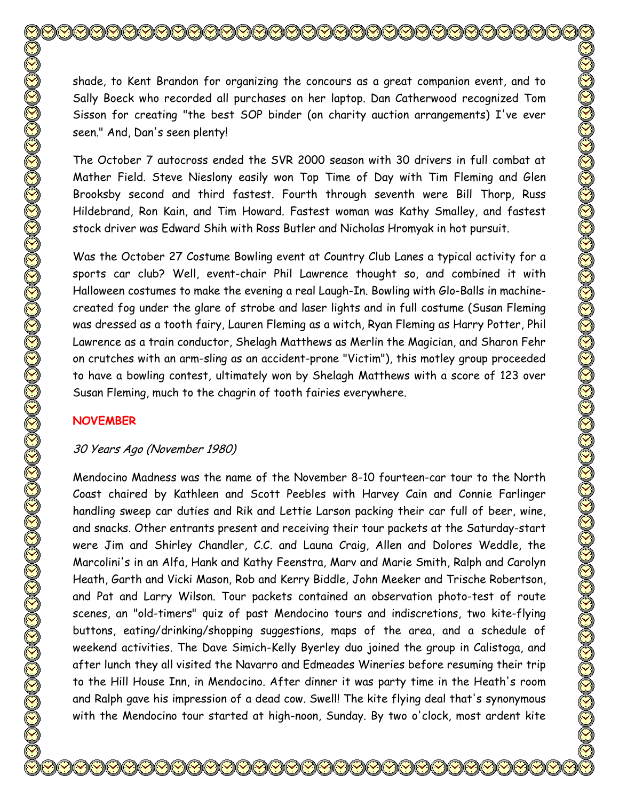shade, to Kent Brandon for organizing the concours as a great companion event, and to Sally Boeck who recorded all purchases on her laptop. Dan Catherwood recognized Tom Sisson for creating "the best SOP binder (on charity auction arrangements) I've ever seen." And, Dan's seen plenty!

The October 7 autocross ended the SVR 2000 season with 30 drivers in full combat at Mather Field. Steve Nieslony easily won Top Time of Day with Tim Fleming and Glen Brooksby second and third fastest. Fourth through seventh were Bill Thorp, Russ Hildebrand, Ron Kain, and Tim Howard. Fastest woman was Kathy Smalley, and fastest stock driver was Edward Shih with Ross Butler and Nicholas Hromyak in hot pursuit.

Was the October 27 Costume Bowling event at Country Club Lanes a typical activity for a sports car club? Well, event-chair Phil Lawrence thought so, and combined it with Halloween costumes to make the evening a real Laugh-In. Bowling with Glo-Balls in machinecreated fog under the glare of strobe and laser lights and in full costume (Susan Fleming was dressed as a tooth fairy, Lauren Fleming as a witch, Ryan Fleming as Harry Potter, Phil Lawrence as a train conductor, Shelagh Matthews as Merlin the Magician, and Sharon Fehr on crutches with an arm-sling as an accident-prone "Victim"), this motley group proceeded to have a bowling contest, ultimately won by Shelagh Matthews with a score of 123 over Susan Fleming, much to the chagrin of tooth fairies everywhere.

# **NOVEMBER**

# 30 Years Ago (November 1980)

Mendocino Madness was the name of the November 8-10 fourteen-car tour to the North Coast chaired by Kathleen and Scott Peebles with Harvey Cain and Connie Farlinger handling sweep car duties and Rik and Lettie Larson packing their car full of beer, wine, and snacks. Other entrants present and receiving their tour packets at the Saturday-start were Jim and Shirley Chandler, C.C. and Launa Craig, Allen and Dolores Weddle, the Marcolini's in an Alfa, Hank and Kathy Feenstra, Marv and Marie Smith, Ralph and Carolyn Heath, Garth and Vicki Mason, Rob and Kerry Biddle, John Meeker and Trische Robertson, and Pat and Larry Wilson. Tour packets contained an observation photo-test of route scenes, an "old-timers" quiz of past Mendocino tours and indiscretions, two kite-flying buttons, eating/drinking/shopping suggestions, maps of the area, and a schedule of weekend activities. The Dave Simich-Kelly Byerley duo joined the group in Calistoga, and after lunch they all visited the Navarro and Edmeades Wineries before resuming their trip to the Hill House Inn, in Mendocino. After dinner it was party time in the Heath's room and Ralph gave his impression of a dead cow. Swell! The kite flying deal that's synonymous with the Mendocino tour started at high-noon, Sunday. By two o'clock, most ardent kite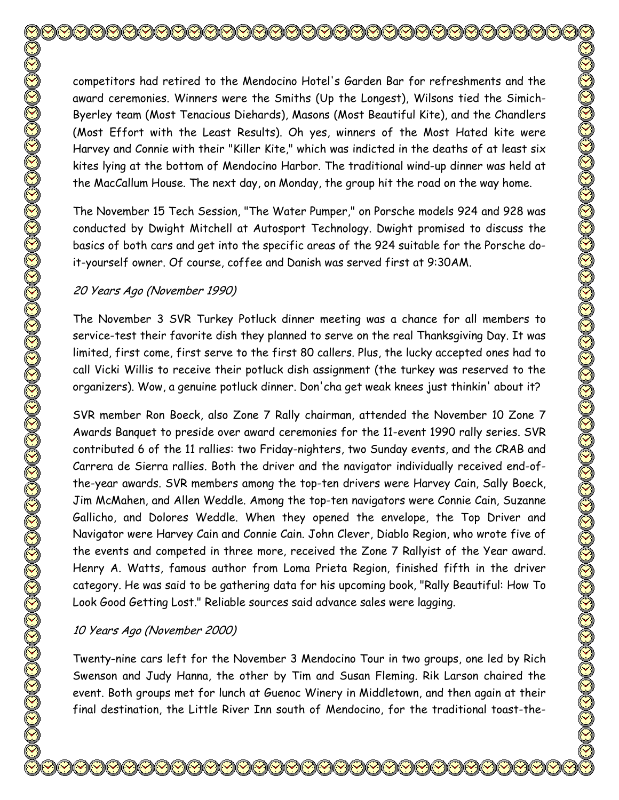competitors had retired to the Mendocino Hotel's Garden Bar for refreshments and the award ceremonies. Winners were the Smiths (Up the Longest), Wilsons tied the Simich-Byerley team (Most Tenacious Diehards), Masons (Most Beautiful Kite), and the Chandlers (Most Effort with the Least Results). Oh yes, winners of the Most Hated kite were Harvey and Connie with their "Killer Kite," which was indicted in the deaths of at least six kites lying at the bottom of Mendocino Harbor. The traditional wind-up dinner was held at the MacCallum House. The next day, on Monday, the group hit the road on the way home. The November 15 Tech Session, "The Water Pumper," on Porsche models 924 and 928 was conducted by Dwight Mitchell at Autosport Technology. Dwight promised to discuss the basics of both cars and get into the specific areas of the 924 suitable for the Porsche doit-yourself owner. Of course, coffee and Danish was served first at 9:30AM. 20 Years Ago (November 1990) The November 3 SVR Turkey Potluck dinner meeting was a chance for all members to service-test their favorite dish they planned to serve on the real Thanksgiving Day. It was limited, first come, first serve to the first 80 callers. Plus, the lucky accepted ones had to call Vicki Willis to receive their potluck dish assignment (the turkey was reserved to the organizers). Wow, a genuine potluck dinner. Don'cha get weak knees just thinkin' about it? SVR member Ron Boeck, also Zone 7 Rally chairman, attended the November 10 Zone 7 Awards Banquet to preside over award ceremonies for the 11-event 1990 rally series. SVR contributed 6 of the 11 rallies: two Friday-nighters, two Sunday events, and the CRAB and Carrera de Sierra rallies. Both the driver and the navigator individually received end-ofthe-year awards. SVR members among the top-ten drivers were Harvey Cain, Sally Boeck, Jim McMahen, and Allen Weddle. Among the top-ten navigators were Connie Cain, Suzanne Gallicho, and Dolores Weddle. When they opened the envelope, the Top Driver and Navigator were Harvey Cain and Connie Cain. John Clever, Diablo Region, who wrote five of the events and competed in three more, received the Zone 7 Rallyist of the Year award. Henry A. Watts, famous author from Loma Prieta Region, finished fifth in the driver

10 Years Ago (November 2000)

Twenty-nine cars left for the November 3 Mendocino Tour in two groups, one led by Rich Swenson and Judy Hanna, the other by Tim and Susan Fleming. Rik Larson chaired the event. Both groups met for lunch at Guenoc Winery in Middletown, and then again at their final destination, the Little River Inn south of Mendocino, for the traditional toast-the-

category. He was said to be gathering data for his upcoming book, "Rally Beautiful: How To

Look Good Getting Lost." Reliable sources said advance sales were lagging.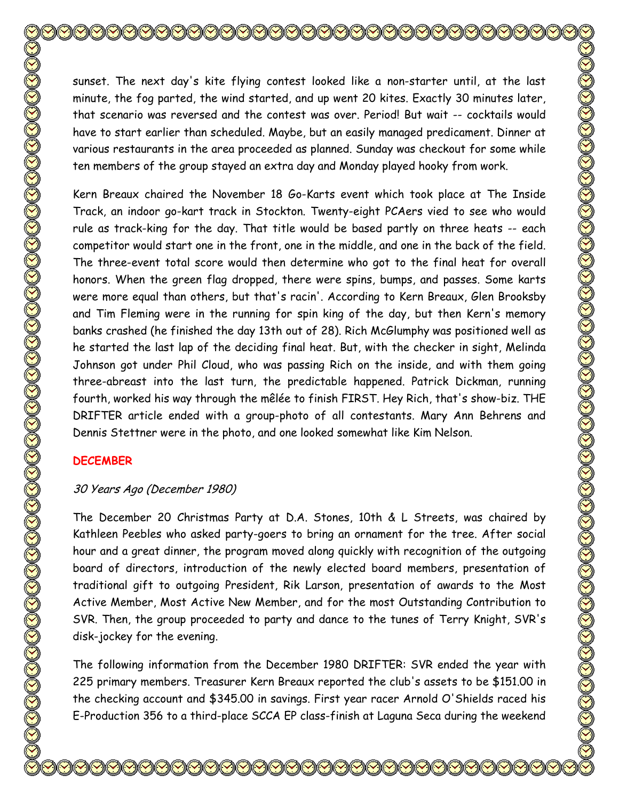sunset. The next day's kite flying contest looked like a non-starter until, at the last minute, the fog parted, the wind started, and up went 20 kites. Exactly 30 minutes later, that scenario was reversed and the contest was over. Period! But wait -- cocktails would have to start earlier than scheduled. Maybe, but an easily managed predicament. Dinner at various restaurants in the area proceeded as planned. Sunday was checkout for some while ten members of the group stayed an extra day and Monday played hooky from work. Kern Breaux chaired the November 18 Go-Karts event which took place at The Inside Track, an indoor go-kart track in Stockton. Twenty-eight PCAers vied to see who would rule as track-king for the day. That title would be based partly on three heats -- each competitor would start one in the front, one in the middle, and one in the back of the field. The three-event total score would then determine who got to the final heat for overall honors. When the green flag dropped, there were spins, bumps, and passes. Some karts were more equal than others, but that's racin'. According to Kern Breaux, Glen Brooksby and Tim Fleming were in the running for spin king of the day, but then Kern's memory banks crashed (he finished the day 13th out of 28). Rich McGlumphy was positioned well as he started the last lap of the deciding final heat. But, with the checker in sight, Melinda Johnson got under Phil Cloud, who was passing Rich on the inside, and with them going

three-abreast into the last turn, the predictable happened. Patrick Dickman, running fourth, worked his way through the mêlée to finish FIRST. Hey Rich, that's show-biz. THE DRIFTER article ended with a group-photo of all contestants. Mary Ann Behrens and Dennis Stettner were in the photo, and one looked somewhat like Kim Nelson.

## **DECEMBER**

## 30 Years Ago (December 1980)

The December 20 Christmas Party at D.A. Stones, 10th & L Streets, was chaired by Kathleen Peebles who asked party-goers to bring an ornament for the tree. After social hour and a great dinner, the program moved along quickly with recognition of the outgoing board of directors, introduction of the newly elected board members, presentation of traditional gift to outgoing President, Rik Larson, presentation of awards to the Most Active Member, Most Active New Member, and for the most Outstanding Contribution to SVR. Then, the group proceeded to party and dance to the tunes of Terry Knight, SVR's disk-jockey for the evening.

The following information from the December 1980 DRIFTER: SVR ended the year with 225 primary members. Treasurer Kern Breaux reported the club's assets to be \$151.00 in the checking account and \$345.00 in savings. First year racer Arnold O'Shields raced his E-Production 356 to a third-place SCCA EP class-finish at Laguna Seca during the weekend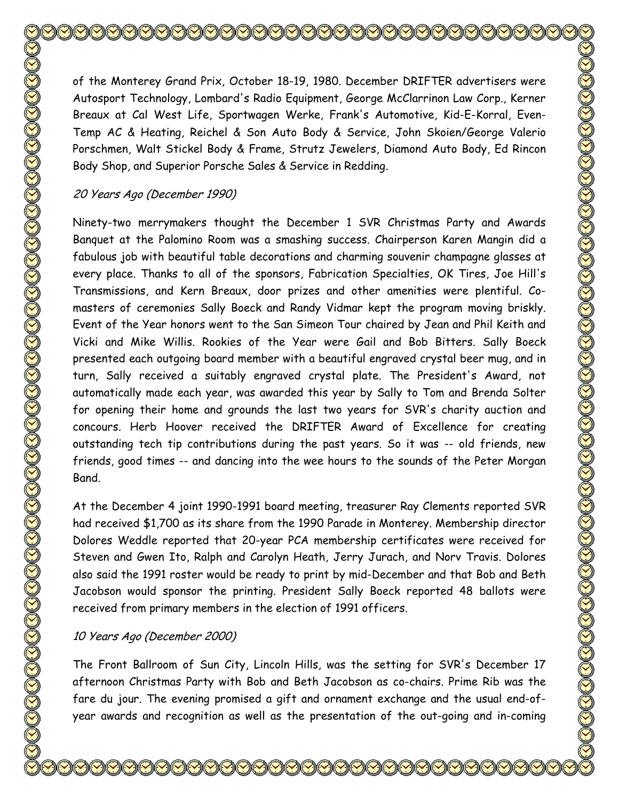of the Monterey Grand Prix, October 18-19, 1980. December DRIFTER advertisers were Autosport Technology, Lombard's Radio Equipment, George McClarrinon Law Corp., Kerner Breaux at Cal West Life, Sportwagen Werke, Frank's Automotive, Kid-E-Korral, Even-Temp AC & Heating, Reichel & Son Auto Body & Service, John Skoien/George Valerio Porschmen, Walt Stickel Body & Frame, Strutz Jewelers, Diamond Auto Body, Ed Rincon Body Shop, and Superior Porsche Sales & Service in Redding.

### 20 Years Ago (December 1990)

Ninety-two merrymakers thought the December 1 SVR Christmas Party and Awards Banquet at the Palomino Room was a smashing success. Chairperson Karen Mangin did a fabulous job with beautiful table decorations and charming souvenir champagne glasses at every place. Thanks to all of the sponsors, Fabrication Specialties, OK Tires, Joe Hill's Transmissions, and Kern Breaux, door prizes and other amenities were plentiful. Comasters of ceremonies Sally Boeck and Randy Vidmar kept the program moving briskly. Event of the Year honors went to the San Simeon Tour chaired by Jean and Phil Keith and Vicki and Mike Willis. Rookies of the Year were Gail and Bob Bitters. Sally Boeck presented each outgoing board member with a beautiful engraved crystal beer mug, and in turn, Sally received a suitably engraved crystal plate. The President's Award, not automatically made each year, was awarded this year by Sally to Tom and Brenda Solter for opening their home and grounds the last two years for SVR's charity auction and concours. Herb Hoover received the DRIFTER Award of Excellence for creating outstanding tech tip contributions during the past years. So it was -- old friends, new friends, good times -- and dancing into the wee hours to the sounds of the Peter Morgan Band.

At the December 4 joint 1990-1991 board meeting, treasurer Ray Clements reported SVR had received \$1,700 as its share from the 1990 Parade in Monterey. Membership director Dolores Weddle reported that 20-year PCA membership certificates were received for Steven and Gwen Ito, Ralph and Carolyn Heath, Jerry Jurach, and Norv Travis. Dolores also said the 1991 roster would be ready to print by mid-December and that Bob and Beth Jacobson would sponsor the printing. President Sally Boeck reported 48 ballots were received from primary members in the election of 1991 officers.

#### 10 Years Ago (December 2000)

The Front Ballroom of Sun City, Lincoln Hills, was the setting for SVR's December 17 afternoon Christmas Party with Bob and Beth Jacobson as co-chairs. Prime Rib was the fare du jour. The evening promised a gift and ornament exchange and the usual end-ofyear awards and recognition as well as the presentation of the out-going and in-coming